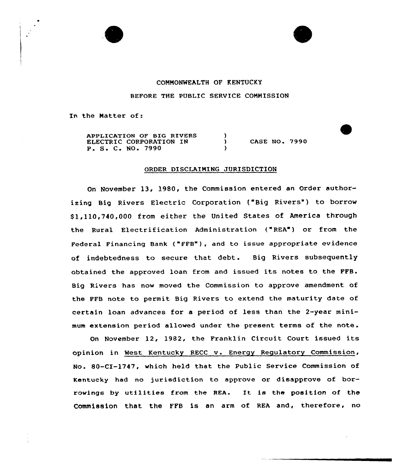



## COMMONWEALTH OF KENTUCKY BEFORE THE PUBLIC SERVICE COMMISSION

In the Matter of:

APPLICATION OF BIG RIVERS ELECTRIC CORPORATION IN P. S. C. NO. 7990

**CASE NO. 7990** 

## ORDER DISCLAIMING JURISDICTION

 $\lambda$  $\lambda$ A

On November 13, 1980, the Commission entered an Order authorizing Big Rivers Electric Corporation ("Big Rivers") to borrow \$1,110,740,000 from either the United States of America through the Rural Electrification Administration ("REA") or from the Federal Financing Bank ("FFB"), and to issue appropriate evidence of indebtedness to secure that debt. Big Rivers subsequently obtained the approved loan from and issued its notes to the FFB. Big Rivers has now moved the Commission to approve amendment of the FFB note to permit Big Rivers to extend the maturity date of cextain loan advances for a period of less than the 2-year minimum extension period allowed under the present terms of the note .

On November 12, 1982, the Franklin Circuit Court issued its opinion in West Kentucky RECC <sup>v</sup> . Energy Regulatory Commission, No. SO-CI-1747, which held that the Public Service Commission of Kentucky had no jurisdiction to approve or disapprove of borrowings by utilities from the REA. It is the position of the Commission that the FFB is an arm of REA and, therefore, no